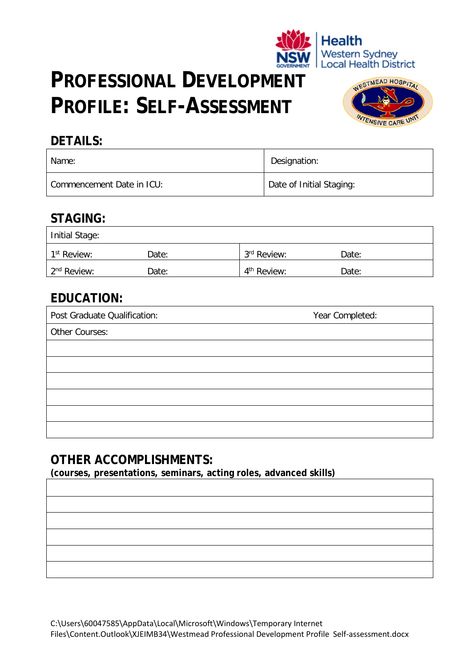

### **PROFESSIONAL DEVELOPMENT PROFILE: SELF-ASSESSMENT**



#### **DETAILS:**

| Name:                     | Designation:             |
|---------------------------|--------------------------|
| Commencement Date in ICU: | Date of Initial Staging: |

#### **STAGING:**

| Initial Stage:          |       |                         |       |
|-------------------------|-------|-------------------------|-------|
| 1 <sup>st</sup> Review: | Date: | 3 <sup>rd</sup> Review: | Date: |
| 2 <sup>nd</sup> Review: | Date: | 4 <sup>th</sup> Review: | Date: |

#### **EDUCATION:**

| Post Graduate Qualification: | Year Completed: |
|------------------------------|-----------------|
| Other Courses:               |                 |
|                              |                 |
|                              |                 |
|                              |                 |
|                              |                 |
|                              |                 |
|                              |                 |

#### **OTHER ACCOMPLISHMENTS:**

**(courses, presentations, seminars, acting roles, advanced skills)**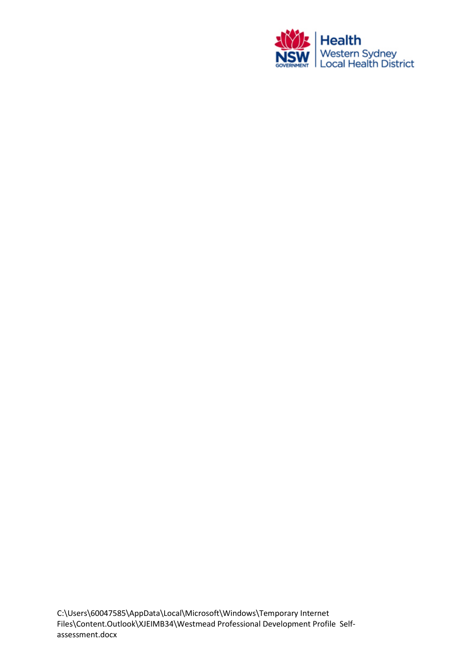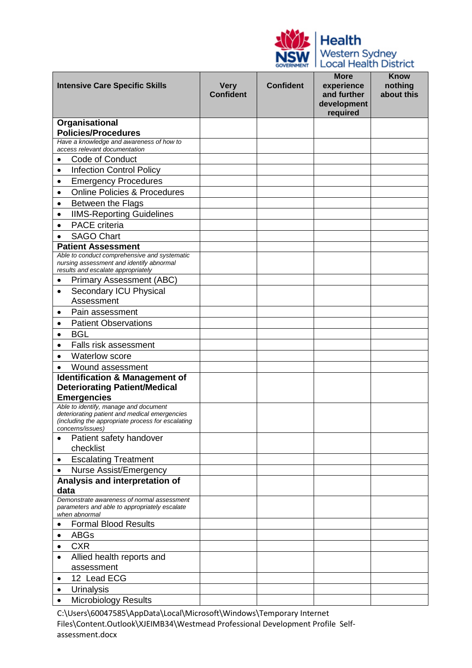

## Western Sydney<br>Local Health District

| <b>Intensive Care Specific Skills</b>                                                                                                                           | <b>Very</b><br><b>Confident</b> | <b>Confident</b> | <b>More</b><br>experience<br>and further<br>development<br>required | Know<br>nothing<br>about this |
|-----------------------------------------------------------------------------------------------------------------------------------------------------------------|---------------------------------|------------------|---------------------------------------------------------------------|-------------------------------|
| Organisational<br><b>Policies/Procedures</b>                                                                                                                    |                                 |                  |                                                                     |                               |
| Have a knowledge and awareness of how to<br>access relevant documentation                                                                                       |                                 |                  |                                                                     |                               |
| <b>Code of Conduct</b>                                                                                                                                          |                                 |                  |                                                                     |                               |
| <b>Infection Control Policy</b><br>$\bullet$                                                                                                                    |                                 |                  |                                                                     |                               |
| <b>Emergency Procedures</b><br>٠                                                                                                                                |                                 |                  |                                                                     |                               |
| <b>Online Policies &amp; Procedures</b><br>$\bullet$                                                                                                            |                                 |                  |                                                                     |                               |
| Between the Flags<br>$\bullet$                                                                                                                                  |                                 |                  |                                                                     |                               |
| <b>IIMS-Reporting Guidelines</b><br>$\bullet$                                                                                                                   |                                 |                  |                                                                     |                               |
| <b>PACE</b> criteria<br>$\bullet$                                                                                                                               |                                 |                  |                                                                     |                               |
| <b>SAGO Chart</b>                                                                                                                                               |                                 |                  |                                                                     |                               |
| <b>Patient Assessment</b>                                                                                                                                       |                                 |                  |                                                                     |                               |
| Able to conduct comprehensive and systematic<br>nursing assessment and identify abnormal<br>results and escalate appropriately                                  |                                 |                  |                                                                     |                               |
| <b>Primary Assessment (ABC)</b><br>$\bullet$                                                                                                                    |                                 |                  |                                                                     |                               |
| Secondary ICU Physical<br>$\bullet$                                                                                                                             |                                 |                  |                                                                     |                               |
| Assessment                                                                                                                                                      |                                 |                  |                                                                     |                               |
| Pain assessment<br>$\bullet$                                                                                                                                    |                                 |                  |                                                                     |                               |
| <b>Patient Observations</b><br>$\bullet$                                                                                                                        |                                 |                  |                                                                     |                               |
| <b>BGL</b><br>$\bullet$                                                                                                                                         |                                 |                  |                                                                     |                               |
| Falls risk assessment                                                                                                                                           |                                 |                  |                                                                     |                               |
| <b>Waterlow score</b>                                                                                                                                           |                                 |                  |                                                                     |                               |
| Wound assessment                                                                                                                                                |                                 |                  |                                                                     |                               |
| <b>Identification &amp; Management of</b>                                                                                                                       |                                 |                  |                                                                     |                               |
| <b>Deteriorating Patient/Medical</b>                                                                                                                            |                                 |                  |                                                                     |                               |
| <b>Emergencies</b>                                                                                                                                              |                                 |                  |                                                                     |                               |
| Able to identify, manage and document<br>deteriorating patient and medical emergencies<br>(including the appropriate process for escalating<br>concerns/issues) |                                 |                  |                                                                     |                               |
| Patient safety handover<br>checklist                                                                                                                            |                                 |                  |                                                                     |                               |
| <b>Escalating Treatment</b><br>٠                                                                                                                                |                                 |                  |                                                                     |                               |
| Nurse Assist/Emergency                                                                                                                                          |                                 |                  |                                                                     |                               |
| Analysis and interpretation of<br>data                                                                                                                          |                                 |                  |                                                                     |                               |
| Demonstrate awareness of normal assessment                                                                                                                      |                                 |                  |                                                                     |                               |
| parameters and able to appropriately escalate<br>when abnormal                                                                                                  |                                 |                  |                                                                     |                               |
| <b>Formal Blood Results</b>                                                                                                                                     |                                 |                  |                                                                     |                               |
| <b>ABGs</b>                                                                                                                                                     |                                 |                  |                                                                     |                               |
| <b>CXR</b>                                                                                                                                                      |                                 |                  |                                                                     |                               |
| Allied health reports and<br>٠                                                                                                                                  |                                 |                  |                                                                     |                               |
| assessment                                                                                                                                                      |                                 |                  |                                                                     |                               |
| 12 Lead ECG                                                                                                                                                     |                                 |                  |                                                                     |                               |
| Urinalysis<br>٠                                                                                                                                                 |                                 |                  |                                                                     |                               |
| <b>Microbiology Results</b><br>$\bullet$                                                                                                                        |                                 |                  |                                                                     |                               |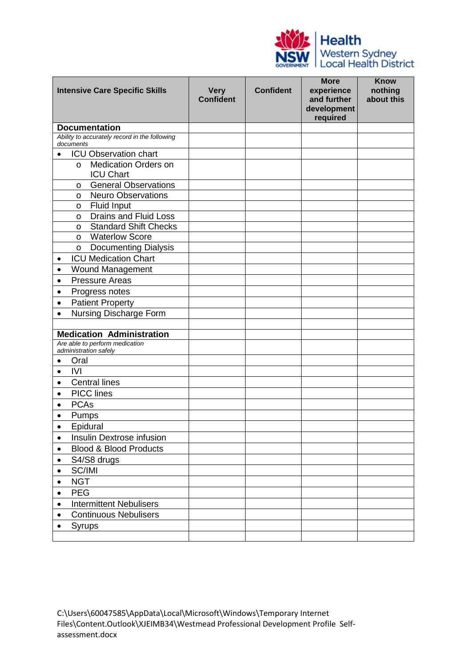

| <b>Intensive Care Specific Skills</b>                      | <b>Very</b><br><b>Confident</b> | <b>Confident</b> | <b>More</b><br>experience<br>and further<br>development<br>required | <b>Know</b><br>nothing<br>about this |
|------------------------------------------------------------|---------------------------------|------------------|---------------------------------------------------------------------|--------------------------------------|
| <b>Documentation</b>                                       |                                 |                  |                                                                     |                                      |
| Ability to accurately record in the following<br>documents |                                 |                  |                                                                     |                                      |
| <b>ICU Observation chart</b><br>$\bullet$                  |                                 |                  |                                                                     |                                      |
| <b>Medication Orders on</b><br>$\circ$<br><b>ICU Chart</b> |                                 |                  |                                                                     |                                      |
| <b>General Observations</b><br>$\circ$                     |                                 |                  |                                                                     |                                      |
| <b>Neuro Observations</b><br>$\circ$                       |                                 |                  |                                                                     |                                      |
| <b>Fluid Input</b><br>O                                    |                                 |                  |                                                                     |                                      |
| <b>Drains and Fluid Loss</b><br>O                          |                                 |                  |                                                                     |                                      |
| <b>Standard Shift Checks</b><br>O                          |                                 |                  |                                                                     |                                      |
| <b>Waterlow Score</b><br>$\circ$                           |                                 |                  |                                                                     |                                      |
| <b>Documenting Dialysis</b><br>O                           |                                 |                  |                                                                     |                                      |
| <b>ICU Medication Chart</b><br>$\bullet$                   |                                 |                  |                                                                     |                                      |
| Wound Management                                           |                                 |                  |                                                                     |                                      |
| <b>Pressure Areas</b><br>$\bullet$                         |                                 |                  |                                                                     |                                      |
| Progress notes                                             |                                 |                  |                                                                     |                                      |
| <b>Patient Property</b><br>$\bullet$                       |                                 |                  |                                                                     |                                      |
| <b>Nursing Discharge Form</b>                              |                                 |                  |                                                                     |                                      |
|                                                            |                                 |                  |                                                                     |                                      |
| <b>Medication Administration</b>                           |                                 |                  |                                                                     |                                      |
| Are able to perform medication<br>administration safely    |                                 |                  |                                                                     |                                      |
| Oral<br>$\bullet$                                          |                                 |                  |                                                                     |                                      |
| <b>IVI</b><br>$\bullet$                                    |                                 |                  |                                                                     |                                      |
| <b>Central lines</b><br>$\bullet$                          |                                 |                  |                                                                     |                                      |
| <b>PICC</b> lines<br>$\bullet$                             |                                 |                  |                                                                     |                                      |
| <b>PCAs</b>                                                |                                 |                  |                                                                     |                                      |
| Pumps                                                      |                                 |                  |                                                                     |                                      |
| Epidural                                                   |                                 |                  |                                                                     |                                      |
| Insulin Dextrose infusion                                  |                                 |                  |                                                                     |                                      |
| <b>Blood &amp; Blood Products</b><br>$\bullet$             |                                 |                  |                                                                     |                                      |
| S4/S8 drugs                                                |                                 |                  |                                                                     |                                      |
| SC/IMI<br>٠                                                |                                 |                  |                                                                     |                                      |
| <b>NGT</b>                                                 |                                 |                  |                                                                     |                                      |
| <b>PEG</b><br>٠                                            |                                 |                  |                                                                     |                                      |
| <b>Intermittent Nebulisers</b><br>٠                        |                                 |                  |                                                                     |                                      |
| <b>Continuous Nebulisers</b>                               |                                 |                  |                                                                     |                                      |
| Syrups                                                     |                                 |                  |                                                                     |                                      |
|                                                            |                                 |                  |                                                                     |                                      |
|                                                            |                                 |                  |                                                                     |                                      |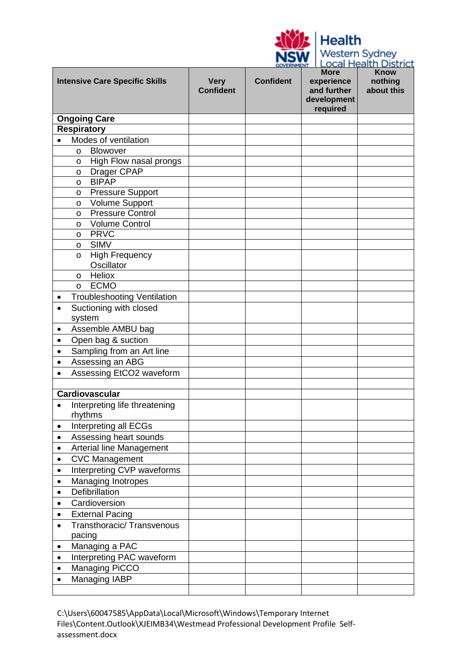

| 1 IGQILI I |                              |
|------------|------------------------------|
|            | <b>Western Sydney</b>        |
|            |                              |
|            | <b>Local Health District</b> |
|            |                              |

| <b>Intensive Care Specific Skills</b>                    | <b>Very</b><br><b>Confident</b> | <b>Confident</b> | <b>More</b><br>experience<br>and further<br>development<br>required | <b>Know</b><br>nothing<br>about this |
|----------------------------------------------------------|---------------------------------|------------------|---------------------------------------------------------------------|--------------------------------------|
| <b>Ongoing Care</b>                                      |                                 |                  |                                                                     |                                      |
| <b>Respiratory</b>                                       |                                 |                  |                                                                     |                                      |
| Modes of ventilation                                     |                                 |                  |                                                                     |                                      |
| Blowover<br>O                                            |                                 |                  |                                                                     |                                      |
| High Flow nasal prongs<br>$\circ$                        |                                 |                  |                                                                     |                                      |
| Drager CPAP<br>O                                         |                                 |                  |                                                                     |                                      |
| <b>BIPAP</b><br>O                                        |                                 |                  |                                                                     |                                      |
| <b>Pressure Support</b><br>O                             |                                 |                  |                                                                     |                                      |
| <b>Volume Support</b><br>O                               |                                 |                  |                                                                     |                                      |
| <b>Pressure Control</b><br>$\circ$                       |                                 |                  |                                                                     |                                      |
| <b>Volume Control</b><br>O                               |                                 |                  |                                                                     |                                      |
| <b>PRVC</b><br>O                                         |                                 |                  |                                                                     |                                      |
| <b>SIMV</b><br>$\circ$                                   |                                 |                  |                                                                     |                                      |
| <b>High Frequency</b><br>$\circ$<br>Oscillator           |                                 |                  |                                                                     |                                      |
| Heliox<br>$\circ$                                        |                                 |                  |                                                                     |                                      |
| <b>ECMO</b><br>$\circ$                                   |                                 |                  |                                                                     |                                      |
| <b>Troubleshooting Ventilation</b>                       |                                 |                  |                                                                     |                                      |
| Suctioning with closed<br>$\bullet$                      |                                 |                  |                                                                     |                                      |
| system                                                   |                                 |                  |                                                                     |                                      |
| Assemble AMBU bag                                        |                                 |                  |                                                                     |                                      |
| Open bag & suction<br>$\bullet$                          |                                 |                  |                                                                     |                                      |
| Sampling from an Art line                                |                                 |                  |                                                                     |                                      |
| Assessing an ABG                                         |                                 |                  |                                                                     |                                      |
| Assessing EtCO2 waveform                                 |                                 |                  |                                                                     |                                      |
|                                                          |                                 |                  |                                                                     |                                      |
| <b>Cardiovascular</b>                                    |                                 |                  |                                                                     |                                      |
| Interpreting life threatening<br>rhythms                 |                                 |                  |                                                                     |                                      |
| Interpreting all ECGs<br>٠                               |                                 |                  |                                                                     |                                      |
| Assessing heart sounds<br>٠                              |                                 |                  |                                                                     |                                      |
| Arterial line Management                                 |                                 |                  |                                                                     |                                      |
| <b>CVC Management</b><br>$\bullet$                       |                                 |                  |                                                                     |                                      |
| Interpreting CVP waveforms<br>$\bullet$                  |                                 |                  |                                                                     |                                      |
| Managing Inotropes<br>$\bullet$                          |                                 |                  |                                                                     |                                      |
| Defibrillation<br>٠                                      |                                 |                  |                                                                     |                                      |
| Cardioversion<br>$\bullet$                               |                                 |                  |                                                                     |                                      |
| <b>External Pacing</b><br>$\bullet$                      |                                 |                  |                                                                     |                                      |
| <b>Transthoracic/ Transvenous</b><br>$\bullet$<br>pacing |                                 |                  |                                                                     |                                      |
| Managing a PAC<br>$\bullet$                              |                                 |                  |                                                                     |                                      |
| Interpreting PAC waveform<br>$\bullet$                   |                                 |                  |                                                                     |                                      |
| <b>Managing PiCCO</b><br>$\bullet$                       |                                 |                  |                                                                     |                                      |
| Managing IABP<br>$\bullet$                               |                                 |                  |                                                                     |                                      |
|                                                          |                                 |                  |                                                                     |                                      |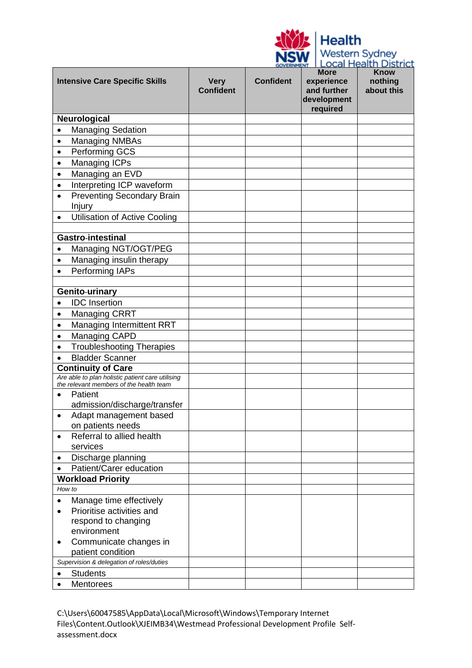

# **Health**<br>Western Sydney<br>Local Health District

|           | <b>Intensive Care Specific Skills</b>              | <b>Very</b><br><b>Confident</b> | <b>GUVERNMEN I</b><br><b>Confident</b> | 1 LUUU 1 I<br><b>More</b><br>experience<br>and further<br>development<br>required | ----<br>יטו וטכו ש<br><b>Know</b><br>nothing<br>about this |
|-----------|----------------------------------------------------|---------------------------------|----------------------------------------|-----------------------------------------------------------------------------------|------------------------------------------------------------|
|           | Neurological                                       |                                 |                                        |                                                                                   |                                                            |
|           | <b>Managing Sedation</b>                           |                                 |                                        |                                                                                   |                                                            |
| ٠         | <b>Managing NMBAs</b>                              |                                 |                                        |                                                                                   |                                                            |
|           | Performing GCS                                     |                                 |                                        |                                                                                   |                                                            |
| ٠         | <b>Managing ICPs</b>                               |                                 |                                        |                                                                                   |                                                            |
| $\bullet$ | Managing an EVD                                    |                                 |                                        |                                                                                   |                                                            |
| $\bullet$ | Interpreting ICP waveform                          |                                 |                                        |                                                                                   |                                                            |
| $\bullet$ | <b>Preventing Secondary Brain</b>                  |                                 |                                        |                                                                                   |                                                            |
|           | Injury                                             |                                 |                                        |                                                                                   |                                                            |
| ٠         | <b>Utilisation of Active Cooling</b>               |                                 |                                        |                                                                                   |                                                            |
|           |                                                    |                                 |                                        |                                                                                   |                                                            |
|           | <b>Gastro-intestinal</b>                           |                                 |                                        |                                                                                   |                                                            |
|           | Managing NGT/OGT/PEG                               |                                 |                                        |                                                                                   |                                                            |
| ٠         | Managing insulin therapy                           |                                 |                                        |                                                                                   |                                                            |
|           | Performing IAPs                                    |                                 |                                        |                                                                                   |                                                            |
|           |                                                    |                                 |                                        |                                                                                   |                                                            |
|           | Genito-urinary                                     |                                 |                                        |                                                                                   |                                                            |
| $\bullet$ | <b>IDC</b> Insertion                               |                                 |                                        |                                                                                   |                                                            |
|           | <b>Managing CRRT</b>                               |                                 |                                        |                                                                                   |                                                            |
| $\bullet$ | Managing Intermittent RRT                          |                                 |                                        |                                                                                   |                                                            |
| ٠         | Managing CAPD                                      |                                 |                                        |                                                                                   |                                                            |
|           | <b>Troubleshooting Therapies</b>                   |                                 |                                        |                                                                                   |                                                            |
|           | <b>Bladder Scanner</b>                             |                                 |                                        |                                                                                   |                                                            |
|           | <b>Continuity of Care</b>                          |                                 |                                        |                                                                                   |                                                            |
|           | Are able to plan holistic patient care utilising   |                                 |                                        |                                                                                   |                                                            |
|           | the relevant members of the health team<br>Patient |                                 |                                        |                                                                                   |                                                            |
|           | admission/discharge/transfer                       |                                 |                                        |                                                                                   |                                                            |
|           | Adapt management based                             |                                 |                                        |                                                                                   |                                                            |
|           | on patients needs                                  |                                 |                                        |                                                                                   |                                                            |
|           | Referral to allied health                          |                                 |                                        |                                                                                   |                                                            |
|           | services                                           |                                 |                                        |                                                                                   |                                                            |
| ٠         | Discharge planning                                 |                                 |                                        |                                                                                   |                                                            |
|           | Patient/Carer education                            |                                 |                                        |                                                                                   |                                                            |
|           | <b>Workload Priority</b>                           |                                 |                                        |                                                                                   |                                                            |
|           | How to                                             |                                 |                                        |                                                                                   |                                                            |
|           | Manage time effectively                            |                                 |                                        |                                                                                   |                                                            |
|           | Prioritise activities and                          |                                 |                                        |                                                                                   |                                                            |
|           | respond to changing                                |                                 |                                        |                                                                                   |                                                            |
|           | environment                                        |                                 |                                        |                                                                                   |                                                            |
|           | Communicate changes in                             |                                 |                                        |                                                                                   |                                                            |
|           | patient condition                                  |                                 |                                        |                                                                                   |                                                            |
|           | Supervision & delegation of roles/duties           |                                 |                                        |                                                                                   |                                                            |
|           | <b>Students</b>                                    |                                 |                                        |                                                                                   |                                                            |
|           | <b>Mentorees</b>                                   |                                 |                                        |                                                                                   |                                                            |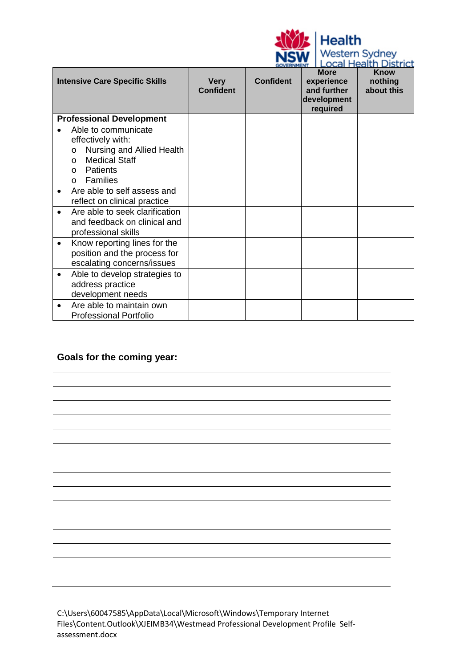

|                                                                                                                                                                      |                                 |                  |                                                                     | <b>Local Health District</b>         |
|----------------------------------------------------------------------------------------------------------------------------------------------------------------------|---------------------------------|------------------|---------------------------------------------------------------------|--------------------------------------|
| <b>Intensive Care Specific Skills</b>                                                                                                                                | <b>Very</b><br><b>Confident</b> | <b>Confident</b> | <b>More</b><br>experience<br>and further<br>development<br>required | <b>Know</b><br>nothing<br>about this |
| <b>Professional Development</b>                                                                                                                                      |                                 |                  |                                                                     |                                      |
| Able to communicate<br>effectively with:<br>Nursing and Allied Health<br>$\circ$<br><b>Medical Staff</b><br>O<br><b>Patients</b><br>O<br><b>Families</b><br>$\Omega$ |                                 |                  |                                                                     |                                      |
| Are able to self assess and<br>reflect on clinical practice                                                                                                          |                                 |                  |                                                                     |                                      |
| Are able to seek clarification<br>and feedback on clinical and<br>professional skills                                                                                |                                 |                  |                                                                     |                                      |
| Know reporting lines for the<br>$\bullet$<br>position and the process for<br>escalating concerns/issues                                                              |                                 |                  |                                                                     |                                      |
| Able to develop strategies to<br>$\bullet$<br>address practice<br>development needs                                                                                  |                                 |                  |                                                                     |                                      |
| Are able to maintain own<br><b>Professional Portfolio</b>                                                                                                            |                                 |                  |                                                                     |                                      |

#### **Goals for the coming year:**